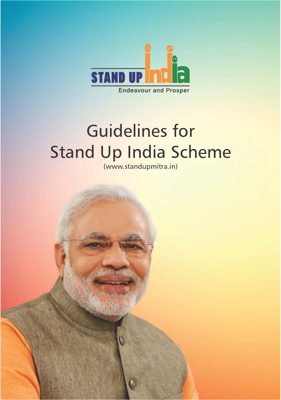

# Guidelines for Stand Up India Scheme

(www.standupmitra.in)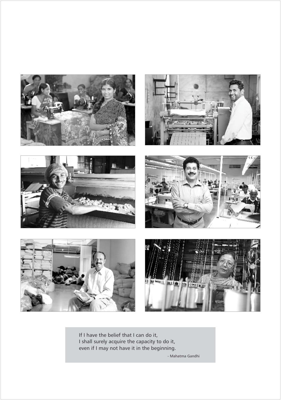

If I have the belief that I can do it, I shall surely acquire the capacity to do it, even if I may not have it in the beginning.

- Mahatma Gandhi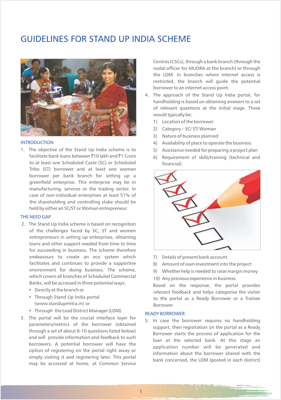# GUIDELINES FOR STAND UP INDIA SCHEME



#### INTRODUCTION

1. The objective of the Stand Up India scheme is to 5) Assistance needed for preparing a project plan to at least one Scheduled Caste (SC) or Scheduled financial). Tribe (ST) borrower and at least one woman borrower per bank branch for setting up a greenfield enterprise. This enterprise may be in manufacturing, services or the trading sector. In case of non-individual enterprises at least 51% of the shareholding and controlling stake should be held by either an SC/ST or Woman entrepreneur. facilitate bank loans between ₹10 lakh and ₹1 Crore

### THE NEED GAP

- 2. The Stand Up India scheme is based on recognition of the challenges faced by SC, ST and women entrepreneurs in setting up enterprises, obtaining loans and other support needed from time to time for succeeding in business. The scheme therefore endeavours to create an eco system which 7) Details of present bank account. facilitates and continues to provide a supportive 8) Amount of own investment into the project environment for doing business. The scheme, 9) Whether help is needed to raise margin money<br>which covers all branches of Scheduled Commercial 10) Association considered in business which covers all branches of Scheduled Commercial 10) Any previous experience in business<br>Banks, will be accessed in three potential ways: Recently assed that we want the second
	-
	- (www.standupmitra.in) or Borrower.
	- Through the Lead District Manager (LDM)
- 3. The portal will be the crucial interface layer for  $\frac{1}{2}$ . In case the borrower requires no handholding parameters/metrics of the borrower (obtained borrowers. A potential borrower will have the may be accessed at home, at Common Service

Centres (CSCs), through a bank branch (through the nodal officer for MUDRA at the branch) or through the LDM. In branches where internet access is restricted, the branch will guide the potential borrower to an internet access point.

- 4. The approach of the Stand Up India portal, for handholding is based on obtaining answers to a set of relevant questions at the initial stage. These would typically be:
	- 1) Location of the borrower
	- 2) Category SC/ ST/ Woman
	- 3) Nature of business planned
	- 4) Availability of place to operate the business.
	-
	- 6) Requirement of skills/training (technical and



- 
- 
- 
- 

Banks, will be accessed in three potential ways:<br>• Directly at the branch or exponse the provides of the portal provides in the response, the portal provides • Directly at the branch or relevant feedback and helps categorise the visitor<br>• Through Stand Up India portal and the portal as a Ready Borrower or a Trainee to the portal as a Ready Borrower or a Trainee

#### READY BORROWER

1

parameters/metrics of the borrower (obtained support, then registration on the portal as a Ready through a set of about 8-10 questions listed below) through a set of about 8-10 questions listed below) Borrower starts the process of application for the and will provide information and feedback to such loan at the selected bank. At this stage an application number will be generated and option of registering on the portal right away or<br>information about the borrower shared with the<br>information about the borrower shared with the bank concerned, the LDM (posted in each district)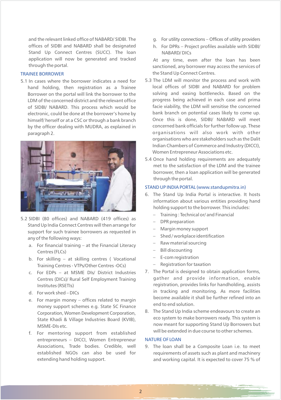and the relevant linked office of NABARD/ SIDBI. The g. For utility connections – Offices of utility providers offices of SIDBI and NABARD shall be designated h. For DPRs – Project profiles available with SIDBI/ Stand Up Connect Centres (SUCC). The loan MABARD/ DICs application will now be generated and tracked At any time, even after the loan has been<br>through the portal.

# TRAINEE BORROWER

Borrower on the portal will link the borrower to the by the officer dealing with MUDRA, as explained in



- 5.2 SIDBI (80 offices) and NABARD (419 offices) as Stand Up India Connect Centres will then arrange for  $\frac{1}{2}$  - Margin money support support for such trainee borrowers as requested in  $\begin{array}{r} \text{Margumology support} \\ - \text{Shed/workplace identification} \end{array}$ any of the following ways:<br>a Let financial training and the Financial Literacy and the material sourcing
	- a. For financial training at the Financial Literacy  $\overline{a}$ Centres (FLCs)  $-$  Bill discounting<br>For skilling and skilling contros (Nosational  $-$  E-com registration
	- b. For skilling at skilling centres ( Vocational  $\overline{a}$  = E-com registration<br>Training Centres VTPs/Other Centres OCs) Registration for taxation Training Centres - VTPs/Other Centres -OCs)
	-
	-
	- e. For margin money offices related to margin become available it shall be  $\frac{1}{2}$  money of figures  $\frac{1}{2}$  and to end solution. money support schemes e.g. State SC Finance State Khadi & Village Industries Board (KVIB),
	- f. For mentoring support from established. entrepreneurs – DICCI, Women Entrepreneur Associations, Trade bodies. Credible, well 9. The loan shall be a Composite Loan i.e. to meet
- 
- 

sanctioned, any borrower may access the services of the Stand Up Connect Centres.

- 5.1 In cases where the borrower indicates a need for 5.3 The LDM will monitor the process and work with <br>In case is a Trainee and SIDBI and NABARD for problem hand holding, then registration as a Trainee local offices of SIDBI and NABARD for problem<br>Borrower on the portal will link the borrower to the solving and easing bottlenecks. Based on the LDM of the concerned district and the relevant office energy progress being achieved in each case and prima of SIDBI/ NABARD. This process which would be facie viability, the LDM will sensitise the concerned electronic, could be done at the borrower's home by bank branch on potential cases likely to come up.<br>himself/herself or at a CSC or through a bank branch Once this is done, SIDBI/NABARD will meet himself/ herself or at a CSC or through a bank branch Once this is done, SIDBI/ NABARD will meet<br>hy the officer dealing with MUDRA as explained in concerned bank officials for further follow up. These paragraph 2. **organisations** will also work with other organisations who are stakeholders such as the Dalit Indian Chambers of Commerce and Industry (DICCI), Women Entrepreneur Associations etc.
	- 5.4 Once hand holding requirements are adequately met to the satisfaction of the LDM and the trainee borrower, then a loan application will be generated through the portal.

### STAND UP INDIA PORTAL (www.standupmitra.in)

- 6. The Stand Up India Portal is interactive. It hosts information about various entities providing hand holding support to the borrower. This includes:
	- Training : Technical or/ and Financial
	-
	-
	-
	-
	-
	-
	-
- c. For EDPs at MSME DIs/ District Industries 7. The Portal is designed to obtain application forms, Centres (DICs)/ Rural Self Employment Training gather and provide information, enable Institutes (RSETIs) The registration, provides links for handholding, assists d. For work shed – DICs<br>a For work shed – DICs<br>become available it shall be further refined into an
	- S. The Stand Up India scheme endeavours to create an Corporation, State Khadi & Village Industries Board (KVIR) eco system to make borrowers ready. This system is MSME-DIs etc.<br>
	MSME-DIs etc.<br>
	Fraction of the contract of the stand up to the stand Up Borrowers but will be extended in due course to other schemes.

### NATURE OF LOAN

established NGOs can also be used for requirements of assets such as plant and machinery extending hand holding support. **and working capital.** It is expected to cover 75 % of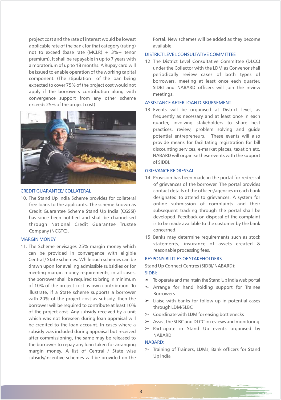applicable rate of the bank for that category (rating) available. not to exceed (base rate (MCLR) +  $3\%$  + tenor premium). It shall be repayable in up to 7 years with 12. The District Level Consultative Committee (DLCC) a moratorium of up to 18 months. A Rupay card will be issued to enable operation of the working capital apply if the borrowers contribution along with meetings. convergence support from any other scheme exceeds 25% of the project cost)



# CREDIT GUARANTEE/ COLLATERAL

Credit Guarantee Scheme Stand Up India (CGSSI) Company (NCGTC). The concerned.

### MARGIN MONEY

11. The Scheme envisages 25% margin money which can be provided in convergence with eligible Central / State schemes. While such schemes can be drawn upon for availing admissible subsidies or for Stand Up Connect Centres (SIDBI/ NABARD): meeting margin money requirements, in all cases, the borrower shall be required to bring in minimum  $\quad\quad$  To operate and maintain the Stand Up India web portal of 10% of the project cost as own contribution. To  $\Rightarrow$  Arrange for hand holding support for Trainee illustrate, if a State scheme supports a borrower<br>with 20% of the project cost as subsidy, then the with 20% of the project cost as subsidy, then the  $\quad \gt \quad$  Liaise with banks for follow up in potential cases borrower will be required to contribute at least 10% through LDM/SLBC<br>of the project cost. Any subsidy received by a unit of the project cost. Any subsidy received by a unit  $\Rightarrow$  Coordinate with LDM for easing bottlenecks which was not foreseen during loan appraisal will  $\longrightarrow$  Assist the SLBC and DLCC in reviews and monitoring be credited to the loan account. In cases where a be credited to the Ioan account. In cases where a<br>subsidy was included during appraisal but received<br>NABARD. after commissioning, the same may be released to the borrower to repay any loan taken for arranging margin money. A list of Central / State wise subsidy/incentive schemes will be provided on the Up India

project cost and the rate of interest would be lowest Portal. New schemes will be added as they become

### DISTRICT LEVEL CONSULTATIVE COMMITTEE

under the Collector with the LDM as Convenor shall periodically review cases of both types of component. (The stipulation of the loan being<br>expected to cover 75% of the project cost would not<br>expected to cover 75% of the project cost would not SIDBI and NABARD officers will join the review

### ASSISTANCE AFTER LOAN DISBURSEMENT

13. Events will be organised at District level, as frequently as necessary and at least once in each quarter, involving stakeholders to share best practices, review, problem solving and guide potential entrepreneurs. These events will also provide means for facilitating registration for bill discounting services, e-market places, taxation etc. NABARD will organise these events with the support of SIDBI.

#### GRIEVANCE REDRESSAL

- 14. Provision has been made in the portal for redressal of grievances of the borrower. The portal provides contact details of the officers/agencies in each bank 10. The Stand Up India Scheme provides for collateral designated to attend to grievances. A system for free loans to the applicants. The scheme known as an online submission of complaints and their<br>Credit Guarantee Scheme Stand Un India (CGSSI) subsequent tracking through the portal shall be has since been notified and shall be channelised developed. Feedback on disposal of the complaint through National Credit Guarantee Trustee is to be made available to the customer by the bank
	- 15. Banks may determine requirements such as stock statements, insurance of assets created & reasonable processing fees.

#### RESPONSIBILITIES OF STAKEHOLDERS

SIDBI:

- 
- 
- 
- 
- 
- $>$  Participate in Stand Up events organised by

#### NABARD:

margin money. A list of Central / State wise  $\geq$  Training of Trainers, LDMs, Bank officers for Stand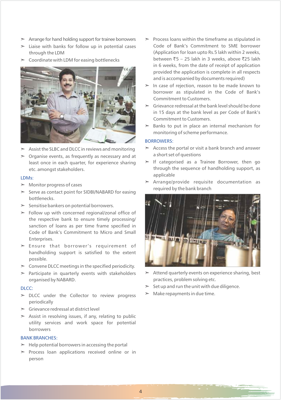- $\geq$  Arrange for hand holding support for trainee borrowers  $\geq$
- 
- $\geq$ Coordinate with LDM for easing bottlenecks



- 
- ► Organise events, as frequently as necessary and at a short set of questions

### LDMs:

- $\triangleright$  Monitor progress of cases
- Serve as contact point for SIDBI/NABARD for easing bottlenecks.
- > Sensitise bankers on potential borrowers.
- $\geq$  Follow up with concerned regional/zonal office of the respective bank to ensure timely processing/ sanction of loans as per time frame specified in Code of Bank's Commitment to Micro and Small Enterprises.
- ã Ensure that borrower's requirement of handholding support is satisfied to the extent possible.
- $\geq$  Convene DLCC meetings in the specified periodicity.
- organised by NABARD. **practices**, problem solving etc.

#### DLCC:

- $\triangleright$  DLCC under the Collector to review progress  $\triangleright$  Make repayments in due time. periodically
- ã Grievance redressal at district level
- $\geq$  Assist in resolving issues, if any, relating to public utility services and work space for potential borrowers

# BANK BRANCHES:

- $\geq$  Help potential borrowers in accessing the portal
- > Process loan applications received online or in person
- > Liaise with banks for follow up in potential cases code of Bank's Commitment to SME borrower  $\geq$  Process loans within the timeframe as stipulated in through the LDM (Application for loan upto Rs.5 lakh within 2 weeks, in 6 weeks, from the date of receipt of application provided the application is complete in all respects and is accompanied by documents required) between ₹5 - 25 lakh in 3 weeks, above ₹25 lakh
	- $\geq$  In case of rejection, reason to be made known to borrower as stipulated in the Code of Bank's Commitment to Customers.
	- $\geq$  Grievance redressal at the bank level should be done in 15 days at the bank level as per Code of Bank's Commitment to Customers.
	- $\geq$  Banks to put in place an internal mechanism for monitoring of scheme performance.

# BORROWERS:

- $\triangleright$  Assist the SLBC and DLCC in reviews and monitoring  $\triangleright$  Access the portal or visit a bank branch and answer
	- least once in each quarter, for experience sharing  $\geq$  If categorised as a Trainee Borrower, then go etc. amongst stakeholders. through the sequence of handholding support, as applicable
	- Monitor progress of cases **and the control of the control of the control of the control of the control of the control of the control of the control of the control of the control of the control of the control of the control** required by the bank branch



- $\triangleright$  Participate in quarterly events with stakeholders  $\triangleright$  Attend quarterly events on experience sharing, best
	- $\geq$ Set up and run the unit with due diligence.
	-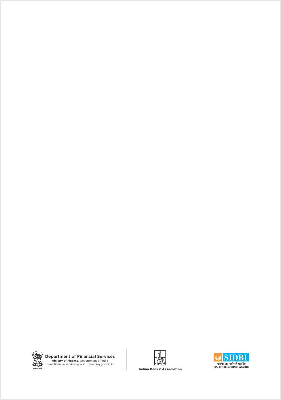

**Department of Financial Services**<br> **Ministry of Finance,** Government of India<br>
www.financialservices.gov.in • www.mygov.nic.in



**SIDBI** ्<br>भारतीय लघु उद्योग विकास बैंक<br>SMALL INDUSTRIES DEVELOPMENT BANK OF INDIA

**Indian Banks' Association**